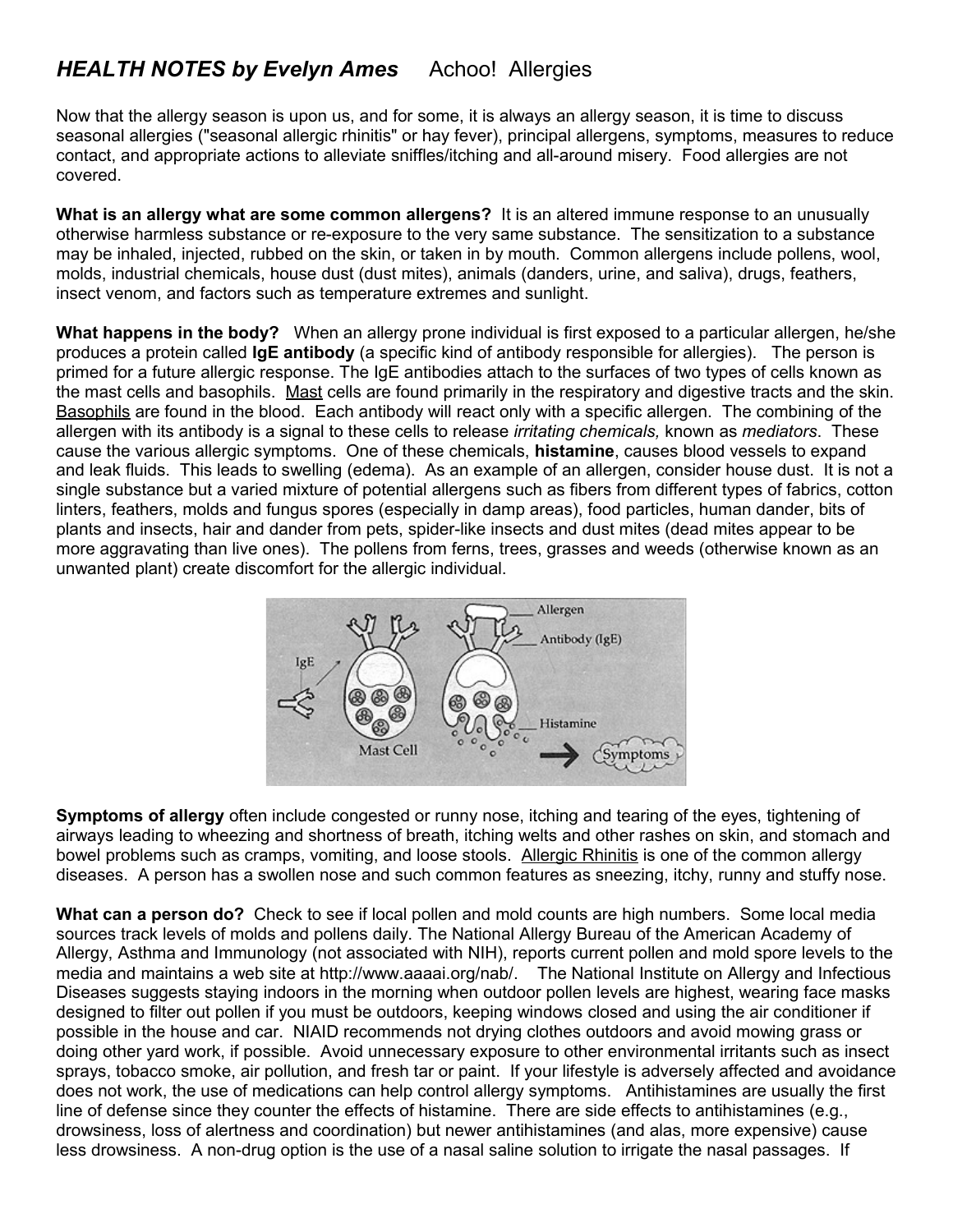## *HEALTH NOTES by Evelyn Ames* Achoo! Allergies

Now that the allergy season is upon us, and for some, it is always an allergy season, it is time to discuss seasonal allergies ("seasonal allergic rhinitis" or hay fever), principal allergens, symptoms, measures to reduce contact, and appropriate actions to alleviate sniffles/itching and all-around misery. Food allergies are not covered.

**What is an allergy what are some common allergens?** It is an altered immune response to an unusually otherwise harmless substance or re-exposure to the very same substance. The sensitization to a substance may be inhaled, injected, rubbed on the skin, or taken in by mouth. Common allergens include pollens, wool, molds, industrial chemicals, house dust (dust mites), animals (danders, urine, and saliva), drugs, feathers, insect venom, and factors such as temperature extremes and sunlight.

**What happens in the body?** When an allergy prone individual is first exposed to a particular allergen, he/she produces a protein called **IgE antibody** (a specific kind of antibody responsible for allergies). The person is primed for a future allergic response. The IgE antibodies attach to the surfaces of two types of cells known as the mast cells and basophils. Mast cells are found primarily in the respiratory and digestive tracts and the skin. Basophils are found in the blood. Each antibody will react only with a specific allergen. The combining of the allergen with its antibody is a signal to these cells to release *irritating chemicals,* known as *mediators*. These cause the various allergic symptoms. One of these chemicals, **histamine**, causes blood vessels to expand and leak fluids. This leads to swelling (edema). As an example of an allergen, consider house dust. It is not a single substance but a varied mixture of potential allergens such as fibers from different types of fabrics, cotton linters, feathers, molds and fungus spores (especially in damp areas), food particles, human dander, bits of plants and insects, hair and dander from pets, spider-like insects and dust mites (dead mites appear to be more aggravating than live ones). The pollens from ferns, trees, grasses and weeds (otherwise known as an unwanted plant) create discomfort for the allergic individual.



**Symptoms of allergy** often include congested or runny nose, itching and tearing of the eyes, tightening of airways leading to wheezing and shortness of breath, itching welts and other rashes on skin, and stomach and bowel problems such as cramps, vomiting, and loose stools. Allergic Rhinitis is one of the common allergy diseases. A person has a swollen nose and such common features as sneezing, itchy, runny and stuffy nose.

**What can a person do?** Check to see if local pollen and mold counts are high numbers. Some local media sources track levels of molds and pollens daily. The National Allergy Bureau of the American Academy of Allergy, Asthma and Immunology (not associated with NIH), reports current pollen and mold spore levels to the media and maintains a web site at http://www.aaaai.org/nab/. The National Institute on Allergy and Infectious Diseases suggests staying indoors in the morning when outdoor pollen levels are highest, wearing face masks designed to filter out pollen if you must be outdoors, keeping windows closed and using the air conditioner if possible in the house and car. NIAID recommends not drying clothes outdoors and avoid mowing grass or doing other yard work, if possible. Avoid unnecessary exposure to other environmental irritants such as insect sprays, tobacco smoke, air pollution, and fresh tar or paint. If your lifestyle is adversely affected and avoidance does not work, the use of medications can help control allergy symptoms. Antihistamines are usually the first line of defense since they counter the effects of histamine. There are side effects to antihistamines (e.g., drowsiness, loss of alertness and coordination) but newer antihistamines (and alas, more expensive) cause less drowsiness. A non-drug option is the use of a nasal saline solution to irrigate the nasal passages. If